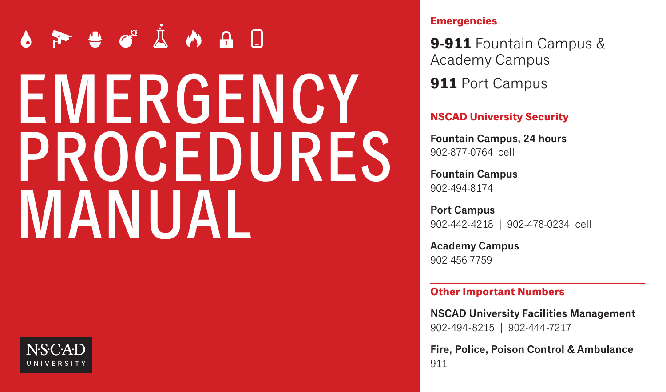# EMERGENCY PROCEDURES MANUAL



#### **Emergencies**

**9-911** Fountain Campus & Academy Campus

**911** Port Campus

## **NSCAD University Security**

Fountain Campus, 24 hours 902-877-0764 cell

Fountain Campus 902-494-8174

Port Campus 902-442-4218 | 902-478-0234 cell

Academy Campus 902-456-7759

#### **Other Important Numbers**

NSCAD University Facilities Management 902-494-8215 | 902-444 -7217

Fire, Police, Poison Control & Ambulance 911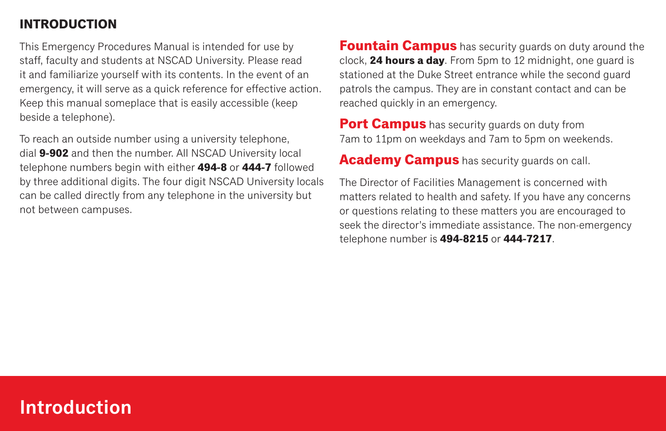## **INTRODUCTION**

This Emergency Procedures Manual is intended for use by staff, faculty and students at NSCAD University. Please read it and familiarize yourself with its contents. In the event of an emergency, it will serve as a quick reference for effective action. Keep this manual someplace that is easily accessible (keep beside a telephone).

To reach an outside number using a university telephone, dial **9-902** and then the number. All NSCAD University local telephone numbers begin with either **494-8** or **444-7** followed by three additional digits. The four digit NSCAD University locals can be called directly from any telephone in the university but not between campuses.

**Fountain Campus** has security guards on duty around the clock, **24 hours a day**. From 5pm to 12 midnight, one guard is stationed at the Duke Street entrance while the second guard patrols the campus. They are in constant contact and can be reached quickly in an emergency.

**Port Campus** has security guards on duty from 7am to 11pm on weekdays and 7am to 5pm on weekends.

**Academy Campus** has security guards on call.

The Director of Facilities Management is concerned with matters related to health and safety. If you have any concerns or questions relating to these matters you are encouraged to seek the director's immediate assistance. The non-emergency telephone number is **494-8215** or **444-7217**.

# Introduction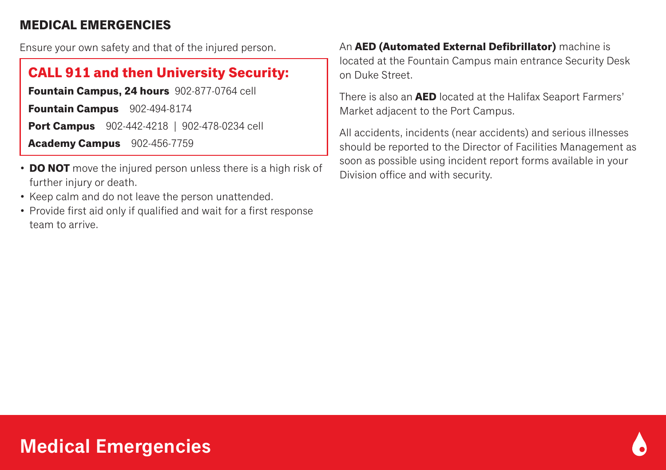## **MEDICAL EMERGENCIES**

Ensure your own safety and that of the injured person.

# **CALL 911 and then University Security:**

**Fountain Campus, 24 hours** 902-877-0764 cell **Fountain Campus** 902-494-8174 **Port Campus** 902-442-4218 | 902-478-0234 cell **Academy Campus** 902-456-7759

- **DO NOT** move the injured person unless there is a high risk of further injury or death.
- Keep calm and do not leave the person unattended.
- Provide first aid only if qualified and wait for a first response team to arrive.

An **AED (Automated External Defibrillator)** machine is located at the Fountain Campus main entrance Security Desk on Duke Street.

There is also an **AED** located at the Halifax Seaport Farmers' Market adjacent to the Port Campus.

All accidents, incidents (near accidents) and serious illnesses should be reported to the Director of Facilities Management as soon as possible using incident report forms available in your Division office and with security.

# Medical Emergencies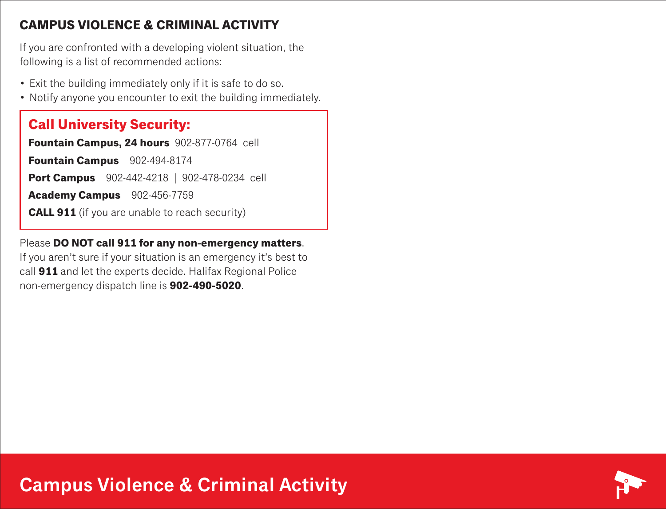## **CAMPUS VIOLENCE & CRIMINAL ACTIVITY**

If you are confronted with a developing violent situation, the following is a list of recommended actions:

- Exit the building immediately only if it is safe to do so.
- Notify anyone you encounter to exit the building immediately.

# **Call University Security:**

**Fountain Campus, 24 hours** 902-877-0764 cell

**Fountain Campus** 902-494-8174

**Port Campus** 902-442-4218 | 902-478-0234 cell

**Academy Campus** 902-456-7759

**CALL 911** (if you are unable to reach security)

Please **DO NOT call 911 for any non-emergency matters**.

If you aren't sure if your situation is an emergency it's best to call **911** and let the experts decide. Halifax Regional Police non-emergency dispatch line is **902-490-5020**.

Campus Violence & Criminal Activity

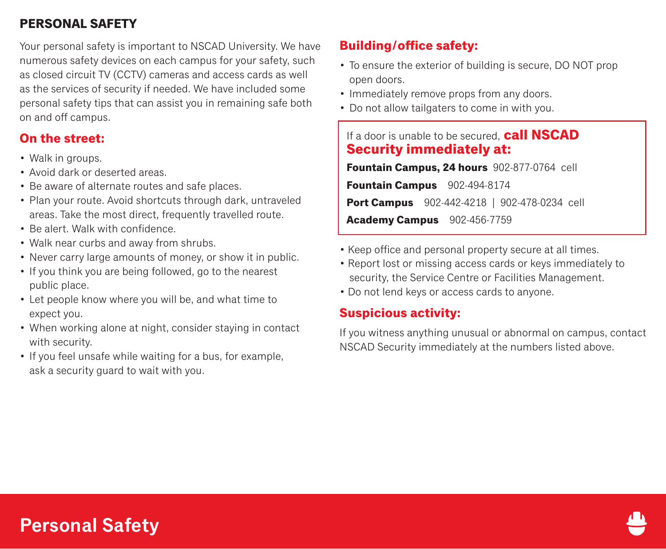# **PERSONAL SAFETY**

Your personal safety is important to NSCAD University. We have numerous safety devices on each campus for your safety, such as closed circuit TV (CCTV) cameras and access cards as well as the services of security if needed. We have included some personal safety tips that can assist you in remaining safe both on and off campus.

## **On the street:**

- Walk in groups.
- Avoid dark or deserted areas.
- Be aware of alternate routes and safe places.
- Plan your route. Avoid shortcuts through dark, untraveled areas. Take the most direct, frequently travelled route.
- Be alert. Walk with confidence.
- Walk near curbs and away from shrubs.
- Never carry large amounts of money, or show it in public.
- If you think you are being followed, go to the nearest public place.
- Let people know where you will be, and what time to expect you.
- When working alone at night, consider staying in contact with security.
- If you feel unsafe while waiting for a bus, for example, ask a security guard to wait with you.

## **Building/office safety:**

- To ensure the exterior of building is secure, DO NOT prop open doors.
- Immediately remove props from any doors.
- Do not allow tailgaters to come in with you.

## If a door is unable to be secured, **call NSCAD Security immediately at:**

**Fountain Campus, 24 hours** 902-877-0764 cell **Fountain Campus** 902-494-8174 **Port Campus** 902-442-4218 | 902-478-0234 cell **Academy Campus** 902-456-7759

- Keep office and personal property secure at all times.
- Report lost or missing access cards or keys immediately to security, the Service Centre or Facilities Management.
- Do not lend keys or access cards to anyone.

## **Suspicious activity:**

If you witness anything unusual or abnormal on campus, contact NSCAD Security immediately at the numbers listed above.

# Personal Safety

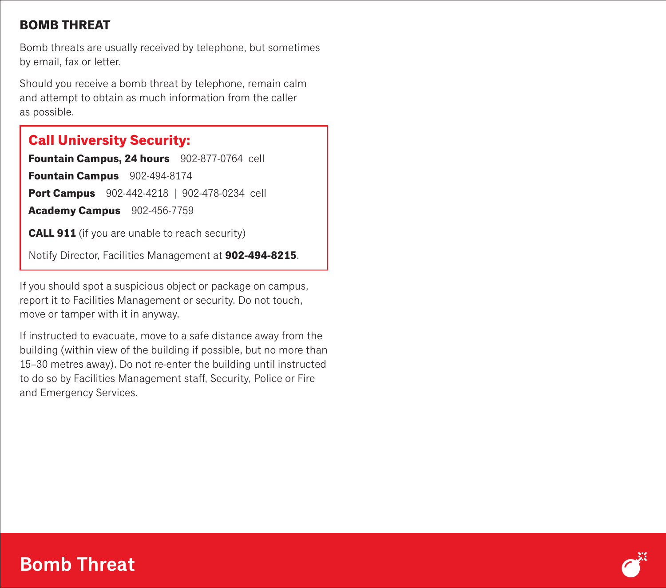## **BOMB THREAT**

Bomb threats are usually received by telephone, but sometimes by email, fax or letter.

Should you receive a bomb threat by telephone, remain calm and attempt to obtain as much information from the caller as possible.

# **Call University Security:**

Fountain Campus, 24 hours 902-877-0764 cell

**Fountain Campus** 902-494-8174

**Port Campus** 902-442-4218 | 902-478-0234 cell

**Academy Campus** 902-456-7759

**CALL 911** (if you are unable to reach security)

Notify Director, Facilities Management at **902-494-8215**.

If you should spot a suspicious object or package on campus, report it to Facilities Management or security. Do not touch, move or tamper with it in anyway.

If instructed to evacuate, move to a safe distance away from the building (within view of the building if possible, but no more than 15–30 metres away). Do not re-enter the building until instructed to do so by Facilities Management staff, Security, Police or Fire and Emergency Services.

# Bomb Threat

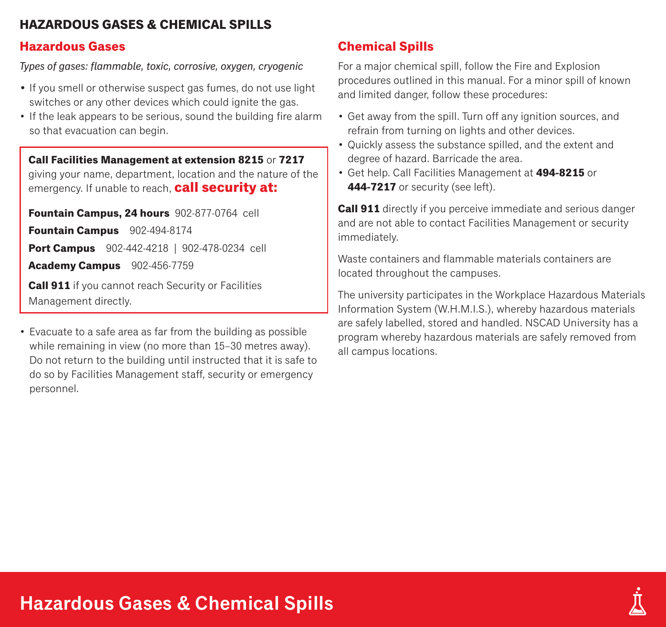## **HAZARDOUS GASES & CHEMICAL SPILLS**

## **Hazardous Gases**

*Types of gases: flammable, toxic, corrosive, oxygen, cryogenic*

- If you smell or otherwise suspect gas fumes, do not use light switches or any other devices which could ignite the gas.
- If the leak appears to be serious, sound the building fire alarm so that evacuation can begin.

**Call Facilities Management at extension 8215** or **7217** giving your name, department, location and the nature of the emergency. If unable to reach, **call security at:** 

**Fountain Campus, 24 hours** 902-877-0764 cell **Fountain Campus** 902-494-8174

**Port Campus** 902-442-4218 | 902-478-0234 cell

**Academy Campus** 902-456-7759

**Call 911** if you cannot reach Security or Facilities Management directly.

• Evacuate to a safe area as far from the building as possible while remaining in view (no more than 15–30 metres away). Do not return to the building until instructed that it is safe to do so by Facilities Management staff, security or emergency personnel.

# **Chemical Spills**

For a major chemical spill, follow the Fire and Explosion procedures outlined in this manual. For a minor spill of known and limited danger, follow these procedures:

- Get away from the spill. Turn off any ignition sources, and refrain from turning on lights and other devices.
- Quickly assess the substance spilled, and the extent and degree of hazard. Barricade the area.
- Get help. Call Facilities Management at **494-8215** or **444-7217** or security (see left).

**Call 911** directly if you perceive immediate and serious danger and are not able to contact Facilities Management or security immediately.

Waste containers and flammable materials containers are located throughout the campuses.

The university participates in the Workplace Hazardous Materials Information System (W.H.M.I.S.), whereby hazardous materials are safely labelled, stored and handled. NSCAD University has a program whereby hazardous materials are safely removed from all campus locations.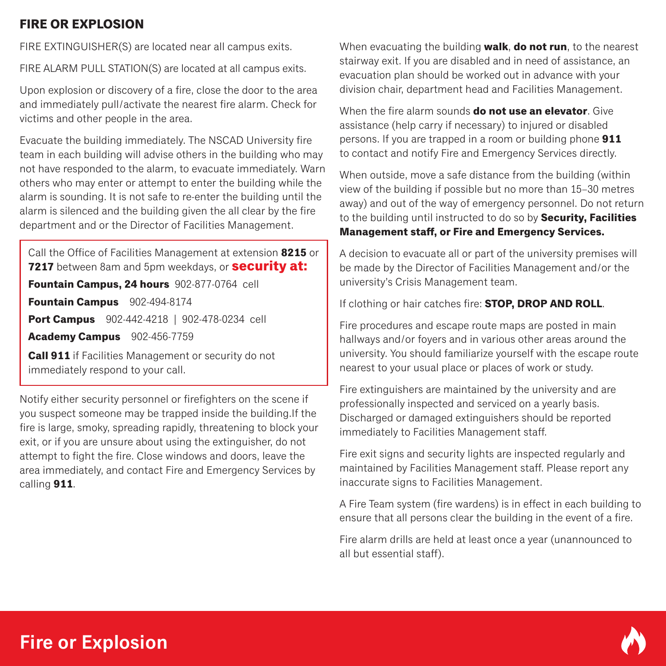# **FIRE OR EXPLOSION**

FIRE EXTINGUISHER(S) are located near all campus exits.

FIRE ALARM PULL STATION(S) are located at all campus exits.

Upon explosion or discovery of a fire, close the door to the area and immediately pull/activate the nearest fire alarm. Check for victims and other people in the area.

Evacuate the building immediately. The NSCAD University fire team in each building will advise others in the building who may not have responded to the alarm, to evacuate immediately. Warn others who may enter or attempt to enter the building while the alarm is sounding. It is not safe to re-enter the building until the alarm is silenced and the building given the all clear by the fire department and or the Director of Facilities Management.

Call the Office of Facilities Management at extension **8215** or **7217** between 8am and 5pm weekdays, or **security at: Fountain Campus, 24 hours** 902-877-0764 cell **Fountain Campus** 902-494-8174 **Port Campus** 902-442-4218 | 902-478-0234 cell **Academy Campus** 902-456-7759 **Call 911** if Facilities Management or security do not

Notify either security personnel or firefighters on the scene if you suspect someone may be trapped inside the building.If the fire is large, smoky, spreading rapidly, threatening to block your exit, or if you are unsure about using the extinguisher, do not attempt to fight the fire. Close windows and doors, leave the area immediately, and contact Fire and Emergency Services by calling **911**.

When evacuating the building **walk**, **do not run**, to the nearest stairway exit. If you are disabled and in need of assistance, an evacuation plan should be worked out in advance with your division chair, department head and Facilities Management.

When the fire alarm sounds **do not use an elevator**. Give assistance (help carry if necessary) to injured or disabled persons. If you are trapped in a room or building phone **911** to contact and notify Fire and Emergency Services directly.

When outside, move a safe distance from the building (within view of the building if possible but no more than 15–30 metres away) and out of the way of emergency personnel. Do not return to the building until instructed to do so by **Security, Facilities Management staff, or Fire and Emergency Services.**

A decision to evacuate all or part of the university premises will be made by the Director of Facilities Management and/or the university's Crisis Management team.

If clothing or hair catches fire: **STOP, DROP AND ROLL**.

Fire procedures and escape route maps are posted in main hallways and/or foyers and in various other areas around the university. You should familiarize yourself with the escape route nearest to your usual place or places of work or study.

Fire extinguishers are maintained by the university and are professionally inspected and serviced on a yearly basis. Discharged or damaged extinguishers should be reported immediately to Facilities Management staff.

Fire exit signs and security lights are inspected regularly and maintained by Facilities Management staff. Please report any inaccurate signs to Facilities Management.

A Fire Team system (fire wardens) is in effect in each building to ensure that all persons clear the building in the event of a fire.

Fire alarm drills are held at least once a year (unannounced to all but essential staff).



immediately respond to your call.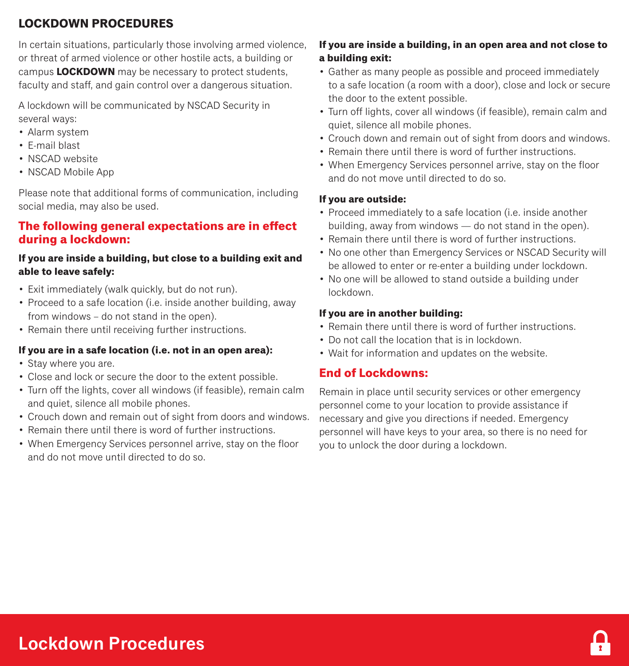# **LOCKDOWN PROCEDURES**

In certain situations, particularly those involving armed violence, or threat of armed violence or other hostile acts, a building or campus **LOCKDOWN** may be necessary to protect students, faculty and staff, and gain control over a dangerous situation.

A lockdown will be communicated by NSCAD Security in several ways:

- Alarm system
- E-mail blast
- NSCAD website
- NSCAD Mobile App

Please note that additional forms of communication, including social media, may also be used.

## **The following general expectations are in effect during a lockdown:**

## **If you are inside a building, but close to a building exit and able to leave safely:**

- Exit immediately (walk quickly, but do not run).
- Proceed to a safe location (i.e. inside another building, away from windows – do not stand in the open).
- Remain there until receiving further instructions.

## **If you are in a safe location (i.e. not in an open area):**

- Stay where you are.
- Close and lock or secure the door to the extent possible.
- Turn off the lights, cover all windows (if feasible), remain calm and quiet, silence all mobile phones.
- Crouch down and remain out of sight from doors and windows.
- Remain there until there is word of further instructions.
- When Emergency Services personnel arrive, stay on the floor and do not move until directed to do so.

## **If you are inside a building, in an open area and not close to a building exit:**

- Gather as many people as possible and proceed immediately to a safe location (a room with a door), close and lock or secure the door to the extent possible.
- Turn off lights, cover all windows (if feasible), remain calm and quiet, silence all mobile phones.
- Crouch down and remain out of sight from doors and windows.
- Remain there until there is word of further instructions.
- When Emergency Services personnel arrive, stay on the floor and do not move until directed to do so.

#### **If you are outside:**

- Proceed immediately to a safe location (i.e. inside another building, away from windows — do not stand in the open).
- Remain there until there is word of further instructions.
- No one other than Emergency Services or NSCAD Security will be allowed to enter or re-enter a building under lockdown.
- No one will be allowed to stand outside a building under lockdown.

#### **If you are in another building:**

- Remain there until there is word of further instructions.
- Do not call the location that is in lockdown
- Wait for information and updates on the website.

## **End of Lockdowns:**

Remain in place until security services or other emergency personnel come to your location to provide assistance if necessary and give you directions if needed. Emergency personnel will have keys to your area, so there is no need for you to unlock the door during a lockdown.